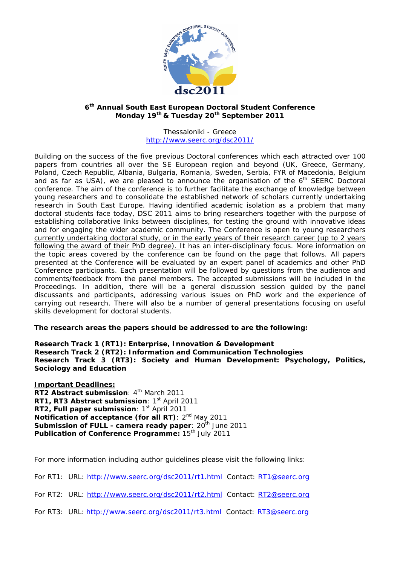

## **6th Annual South East European Doctoral Student Conference Monday 19th & Tuesday 20th September 2011**

Thessaloniki - Greece http://www.seerc.org/dsc2011/

Building on the success of the five previous Doctoral conferences which each attracted over 100 papers from countries all over the SE European region and beyond (UK, Greece, Germany, Poland, Czech Republic, Albania, Bulgaria, Romania, Sweden, Serbia, FYR of Macedonia, Belgium and as far as USA), we are pleased to announce the organisation of the  $6<sup>th</sup>$  SEERC Doctoral conference. The aim of the conference is to further facilitate the exchange of knowledge between young researchers and to consolidate the established network of scholars currently undertaking research in South East Europe. Having identified academic isolation as a problem that many doctoral students face today, DSC 2011 aims to bring researchers together with the purpose of establishing collaborative links between disciplines, for testing the ground with innovative ideas and for engaging the wider academic community. The Conference is open to young researchers currently undertaking doctoral study, or in the early years of their research career (up to 2 years following the award of their PhD degree). It has an inter-disciplinary focus. More information on the topic areas covered by the conference can be found on the page that follows. All papers presented at the Conference will be evaluated by an expert panel of academics and other PhD Conference participants. Each presentation will be followed by questions from the audience and comments/feedback from the panel members. The accepted submissions will be included in the Proceedings. In addition, there will be a general discussion session guided by the panel discussants and participants, addressing various issues on PhD work and the experience of carrying out research. There will also be a number of general presentations focusing on useful skills development for doctoral students.

## **The research areas the papers should be addressed to are the following:**

**Research Track 1 (RT1): Enterprise, Innovation & Development Research Track 2 (RT2): Information and Communication Technologies Research Track 3 (RT3): Society and Human Development: Psychology, Politics, Sociology and Education** 

**Important Deadlines: RT2 Abstract submission: 4<sup>th</sup> March 2011 RT1, RT3 Abstract submission: 1st April 2011 RT2, Full paper submission: 1st April 2011 Notification of acceptance (for all RT)**: 2<sup>nd</sup> May 2011 **Submission of FULL - camera ready paper: 20<sup>th</sup> June 2011 Publication of Conference Programme: 15<sup>th</sup> July 2011** 

For more information including author guidelines please visit the following links:

For RT1: URL: http://www.seerc.org/dsc2011/rt1.html Contact: RT1@seerc.org

For RT2: URL: http://www.seerc.org/dsc2011/rt2.html Contact: RT2@seerc.org

For RT3: URL: http://www.seerc.org/dsc2011/rt3.html Contact: RT3@seerc.org